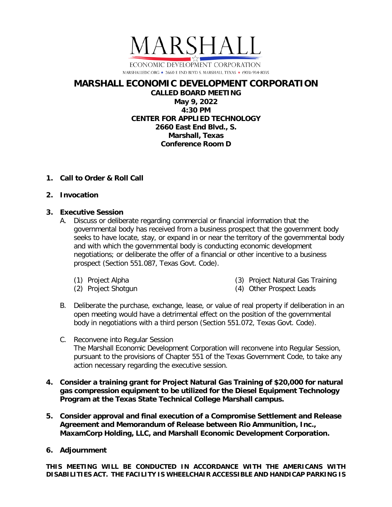

## **MARSHALL ECONOMIC DEVELOPMENT CORPORATION**

**CALLED BOARD MEETING May 9, 2022 4:30 PM CENTER FOR APPLIED TECHNOLOGY 2660 East End Blvd., S. Marshall, Texas Conference Room D**

## **1. Call to Order & Roll Call**

## **2. Invocation**

## **3. Executive Session**

- A. Discuss or deliberate regarding commercial or financial information that the governmental body has received from a business prospect that the government body seeks to have locate, stay, or expand in or near the territory of the governmental body and with which the governmental body is conducting economic development negotiations; or deliberate the offer of a financial or other incentive to a business prospect (Section 551.087, Texas Govt. Code).
	- (1) Project Alpha
	- (2) Project Shotgun
- (3) Project Natural Gas Training
- (4) Other Prospect Leads
- B. Deliberate the purchase, exchange, lease, or value of real property if deliberation in an open meeting would have a detrimental effect on the position of the governmental body in negotiations with a third person (Section 551.072, Texas Govt. Code).
- C. Reconvene into Regular Session The Marshall Economic Development Corporation will reconvene into Regular Session, pursuant to the provisions of Chapter 551 of the Texas Government Code, to take any action necessary regarding the executive session.
- **4. Consider a training grant for Project Natural Gas Training of \$20,000 for natural gas compression equipment to be utilized for the Diesel Equipment Technology Program at the Texas State Technical College Marshall campus.**
- **5. Consider approval and final execution of a Compromise Settlement and Release Agreement and Memorandum of Release between Rio Ammunition, Inc., MaxamCorp Holding, LLC, and Marshall Economic Development Corporation.**
- **6. Adjournment**

**THIS MEETING WILL BE CONDUCTED IN ACCORDANCE WITH THE AMERICANS WITH DISABILITIES ACT. THE FACILITY IS WHEELCHAIR ACCESSIBLE AND HANDICAP PARKING IS**